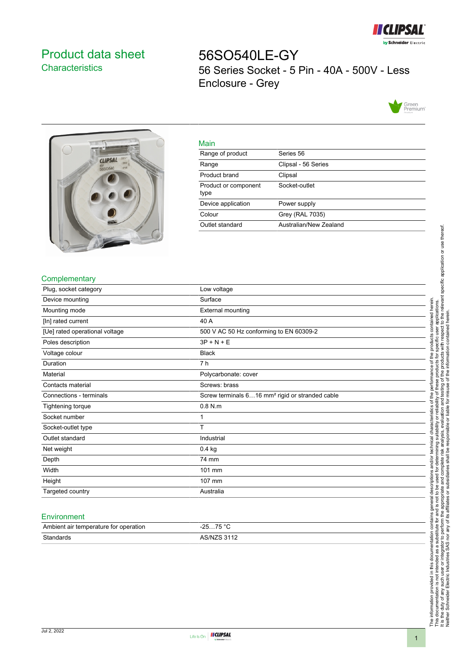

# <span id="page-0-0"></span>Product data sheet **Characteristics**

56SO540LE-GY 56 Series Socket - 5 Pin - 40A - 500V - Less Enclosure - Grey





| ٠   |
|-----|
|     |
| . . |

| <u>ividili</u>               |                        |
|------------------------------|------------------------|
| Range of product             | Series 56              |
| Range                        | Clipsal - 56 Series    |
| Product brand                | Clipsal                |
| Product or component<br>type | Socket-outlet          |
| Device application           | Power supply           |
| Colour                       | Grey (RAL 7035)        |
| Outlet standard              | Australian/New Zealand |
|                              |                        |

## **Complementary**

| Plug, socket category          | Low voltage                                                 |
|--------------------------------|-------------------------------------------------------------|
| Device mounting                | Surface                                                     |
| Mounting mode                  | <b>External mounting</b>                                    |
| [In] rated current             | 40 A                                                        |
| [Ue] rated operational voltage | 500 V AC 50 Hz conforming to EN 60309-2                     |
| Poles description              | $3P + N + E$                                                |
| Voltage colour                 | <b>Black</b>                                                |
| Duration                       | 7 h                                                         |
| Material                       | Polycarbonate: cover                                        |
| Contacts material              | Screws: brass                                               |
| Connections - terminals        | Screw terminals 616 mm <sup>2</sup> rigid or stranded cable |
| Tightening torque              | $0.8$ N.m                                                   |
| Socket number                  | 1                                                           |
| Socket-outlet type             | T                                                           |
| Outlet standard                | Industrial                                                  |
| Net weight                     | $0.4$ kg                                                    |
| Depth                          | 74 mm                                                       |
| Width                          | 101 mm                                                      |
| Height                         | 107 mm                                                      |
| Targeted country               | Australia                                                   |

#### **Environment**

| Ambient air temperature for operation | 75 °C<br>ว⊏<br>. <b>. ب</b><br><b>20</b> |
|---------------------------------------|------------------------------------------|
| Standards                             | <b>ARINIZR 3112</b>                      |